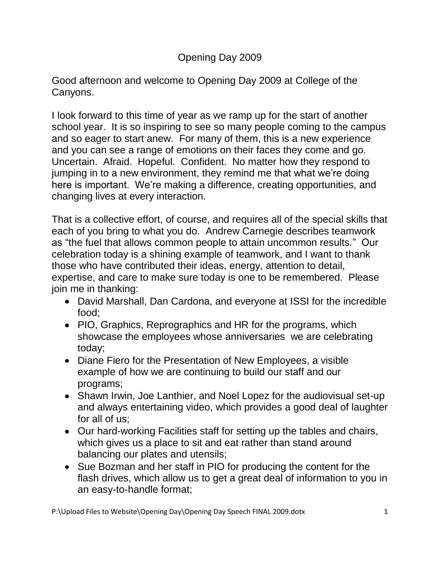# Opening Day 2009

Good afternoon and welcome to Opening Day 2009 at College of the Canyons.

I look forward to this time of year as we ramp up for the start of another school year. It is so inspiring to see so many people coming to the campus and so eager to start anew. For many of them, this is a new experience and you can see a range of emotions on their faces they come and go. Uncertain. Afraid. Hopeful. Confident. No matter how they respond to jumping in to a new environment, they remind me that what we're doing here is important. We're making a difference, creating opportunities, and changing lives at every interaction.

That is a collective effort, of course, and requires all of the special skills that each of you bring to what you do. Andrew Carnegie describes teamwork as "the fuel that allows common people to attain uncommon results." Our celebration today is a shining example of teamwork, and I want to thank those who have contributed their ideas, energy, attention to detail, expertise, and care to make sure today is one to be remembered. Please join me in thanking:

- David Marshall, Dan Cardona, and everyone at ISSI for the incredible food;
- PIO, Graphics, Reprographics and HR for the programs, which showcase the employees whose anniversaries we are celebrating today;
- Diane Fiero for the Presentation of New Employees, a visible example of how we are continuing to build our staff and our programs;
- Shawn Irwin, Joe Lanthier, and Noel Lopez for the audiovisual set-up and always entertaining video, which provides a good deal of laughter for all of us;
- Our hard-working Facilities staff for setting up the tables and chairs, which gives us a place to sit and eat rather than stand around balancing our plates and utensils;
- Sue Bozman and her staff in PIO for producing the content for the flash drives, which allow us to get a great deal of information to you in an easy-to-handle format;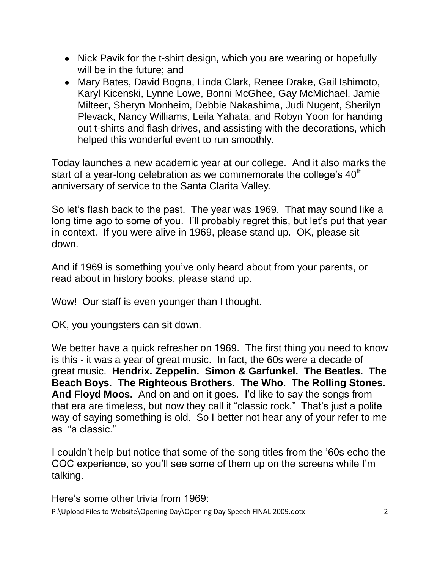- Nick Pavik for the t-shirt design, which you are wearing or hopefully will be in the future; and
- Mary Bates, David Bogna, Linda Clark, Renee Drake, Gail Ishimoto, Karyl Kicenski, Lynne Lowe, Bonni McGhee, Gay McMichael, Jamie Milteer, Sheryn Monheim, Debbie Nakashima, Judi Nugent, Sherilyn Plevack, Nancy Williams, Leila Yahata, and Robyn Yoon for handing out t-shirts and flash drives, and assisting with the decorations, which helped this wonderful event to run smoothly.

Today launches a new academic year at our college. And it also marks the start of a year-long celebration as we commemorate the college's 40<sup>th</sup> anniversary of service to the Santa Clarita Valley.

So let's flash back to the past. The year was 1969. That may sound like a long time ago to some of you. I'll probably regret this, but let's put that year in context. If you were alive in 1969, please stand up. OK, please sit down.

And if 1969 is something you've only heard about from your parents, or read about in history books, please stand up.

Wow! Our staff is even younger than I thought.

OK, you youngsters can sit down.

We better have a quick refresher on 1969. The first thing you need to know is this - it was a year of great music. In fact, the 60s were a decade of great music. **Hendrix. Zeppelin. Simon & Garfunkel. The Beatles. The Beach Boys. The Righteous Brothers. The Who. The Rolling Stones. And Floyd Moos.** And on and on it goes. I'd like to say the songs from that era are timeless, but now they call it "classic rock." That's just a polite way of saying something is old. So I better not hear any of your refer to me as "a classic."

I couldn't help but notice that some of the song titles from the '60s echo the COC experience, so you'll see some of them up on the screens while I'm talking.

Here's some other trivia from 1969: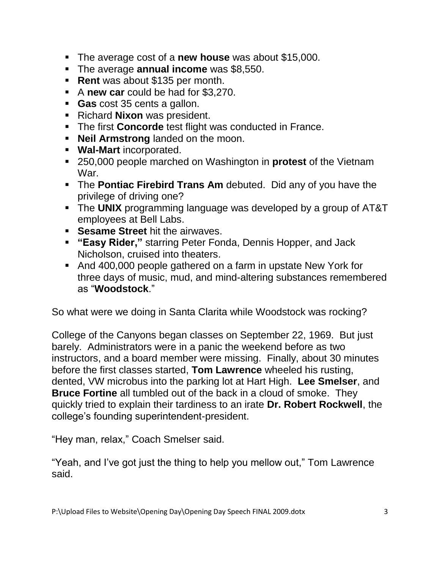- The average cost of a **new house** was about \$15,000.
- The average **annual income** was \$8,550.
- **Rent** was about \$135 per month.
- A new car could be had for \$3,270.
- **Gas** cost 35 cents a gallon.
- **Richard Nixon was president.**
- **The first Concorde** test flight was conducted in France.
- **Neil Armstrong** landed on the moon.
- **Wal-Mart** incorporated.
- 250,000 people marched on Washington in **protest** of the Vietnam War.
- The **Pontiac Firebird Trans Am** debuted. Did any of you have the privilege of driving one?
- The **UNIX** programming language was developed by a group of AT&T employees at Bell Labs.
- **Sesame Street** hit the airwaves.
- **"Easy Rider,"** starring Peter Fonda, Dennis Hopper, and Jack Nicholson, cruised into theaters.
- And 400,000 people gathered on a farm in upstate New York for three days of music, mud, and mind-altering substances remembered as "**Woodstock**."

So what were we doing in Santa Clarita while Woodstock was rocking?

College of the Canyons began classes on September 22, 1969. But just barely. Administrators were in a panic the weekend before as two instructors, and a board member were missing. Finally, about 30 minutes before the first classes started, **Tom Lawrence** wheeled his rusting, dented, VW microbus into the parking lot at Hart High. **Lee Smelser**, and **Bruce Fortine** all tumbled out of the back in a cloud of smoke. They quickly tried to explain their tardiness to an irate **Dr. Robert Rockwell**, the college's founding superintendent-president.

"Hey man, relax," Coach Smelser said.

"Yeah, and I've got just the thing to help you mellow out," Tom Lawrence said.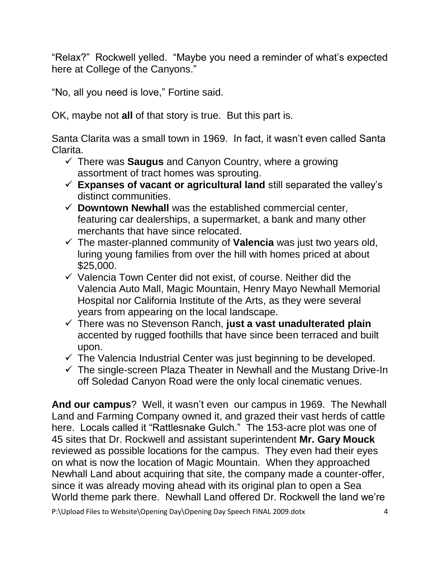"Relax?" Rockwell yelled. "Maybe you need a reminder of what's expected here at College of the Canyons."

"No, all you need is love," Fortine said.

OK, maybe not **all** of that story is true. But this part is.

Santa Clarita was a small town in 1969. In fact, it wasn't even called Santa Clarita.

- There was **Saugus** and Canyon Country, where a growing assortment of tract homes was sprouting.
- **Expanses of vacant or agricultural land** still separated the valley's distinct communities.
- $\checkmark$  Downtown Newhall was the established commercial center, featuring car dealerships, a supermarket, a bank and many other merchants that have since relocated.
- $\checkmark$  The master-planned community of **Valencia** was just two years old, luring young families from over the hill with homes priced at about \$25,000.
- $\checkmark$  Valencia Town Center did not exist, of course. Neither did the Valencia Auto Mall, Magic Mountain, Henry Mayo Newhall Memorial Hospital nor California Institute of the Arts, as they were several years from appearing on the local landscape.
- There was no Stevenson Ranch, **just a vast unadulterated plain** accented by rugged foothills that have since been terraced and built upon.
- $\checkmark$  The Valencia Industrial Center was just beginning to be developed.
- $\checkmark$  The single-screen Plaza Theater in Newhall and the Mustang Drive-In off Soledad Canyon Road were the only local cinematic venues.

**And our campus**? Well, it wasn't even our campus in 1969. The Newhall Land and Farming Company owned it, and grazed their vast herds of cattle here. Locals called it "Rattlesnake Gulch." The 153-acre plot was one of 45 sites that Dr. Rockwell and assistant superintendent **Mr. Gary Mouck** reviewed as possible locations for the campus. They even had their eyes on what is now the location of Magic Mountain. When they approached Newhall Land about acquiring that site, the company made a counter-offer, since it was already moving ahead with its original plan to open a Sea World theme park there. Newhall Land offered Dr. Rockwell the land we're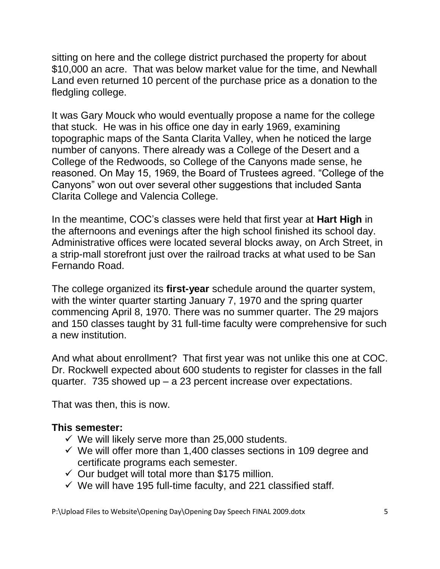sitting on here and the college district purchased the property for about \$10,000 an acre. That was below market value for the time, and Newhall Land even returned 10 percent of the purchase price as a donation to the fledgling college.

It was Gary Mouck who would eventually propose a name for the college that stuck. He was in his office one day in early 1969, examining topographic maps of the Santa Clarita Valley, when he noticed the large number of canyons. There already was a College of the Desert and a College of the Redwoods, so College of the Canyons made sense, he reasoned. On May 15, 1969, the Board of Trustees agreed. "College of the Canyons" won out over several other suggestions that included Santa Clarita College and Valencia College.

In the meantime, COC's classes were held that first year at **Hart High** in the afternoons and evenings after the high school finished its school day. Administrative offices were located several blocks away, on Arch Street, in a strip-mall storefront just over the railroad tracks at what used to be San Fernando Road.

The college organized its **first-year** schedule around the quarter system, with the winter quarter starting January 7, 1970 and the spring quarter commencing April 8, 1970. There was no summer quarter. The 29 majors and 150 classes taught by 31 full-time faculty were comprehensive for such a new institution.

And what about enrollment? That first year was not unlike this one at COC. Dr. Rockwell expected about 600 students to register for classes in the fall quarter. 735 showed up – a 23 percent increase over expectations.

That was then, this is now.

### **This semester:**

- $\checkmark$  We will likely serve more than 25,000 students.
- $\checkmark$  We will offer more than 1,400 classes sections in 109 degree and certificate programs each semester.
- $\checkmark$  Our budget will total more than \$175 million.
- $\checkmark$  We will have 195 full-time faculty, and 221 classified staff.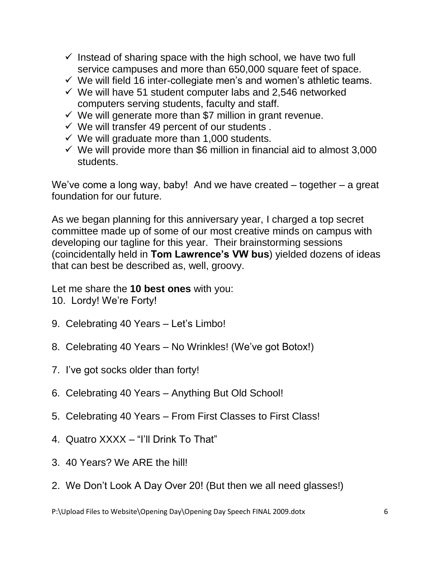- $\checkmark$  Instead of sharing space with the high school, we have two full service campuses and more than 650,000 square feet of space.
- $\checkmark$  We will field 16 inter-collegiate men's and women's athletic teams.
- $\checkmark$  We will have 51 student computer labs and 2,546 networked computers serving students, faculty and staff.
- $\checkmark$  We will generate more than \$7 million in grant revenue.
- $\checkmark$  We will transfer 49 percent of our students.
- $\checkmark$  We will graduate more than 1,000 students.
- $\checkmark$  We will provide more than \$6 million in financial aid to almost 3,000 students.

We've come a long way, baby! And we have created – together – a great foundation for our future.

As we began planning for this anniversary year, I charged a top secret committee made up of some of our most creative minds on campus with developing our tagline for this year. Their brainstorming sessions (coincidentally held in **Tom Lawrence's VW bus**) yielded dozens of ideas that can best be described as, well, groovy.

Let me share the **10 best ones** with you:

- 10. Lordy! We're Forty!
- 9. Celebrating 40 Years Let's Limbo!
- 8. Celebrating 40 Years No Wrinkles! (We've got Botox!)
- 7. I've got socks older than forty!
- 6. Celebrating 40 Years Anything But Old School!
- 5. Celebrating 40 Years From First Classes to First Class!
- 4. Quatro XXXX "I'll Drink To That"
- 3. 40 Years? We ARE the hill!
- 2. We Don't Look A Day Over 20! (But then we all need glasses!)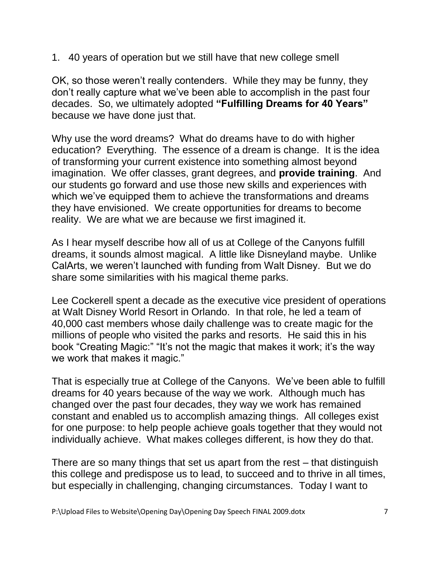1. 40 years of operation but we still have that new college smell

OK, so those weren't really contenders. While they may be funny, they don't really capture what we've been able to accomplish in the past four decades. So, we ultimately adopted **"Fulfilling Dreams for 40 Years"** because we have done just that.

Why use the word dreams? What do dreams have to do with higher education? Everything. The essence of a dream is change. It is the idea of transforming your current existence into something almost beyond imagination. We offer classes, grant degrees, and **provide training**. And our students go forward and use those new skills and experiences with which we've equipped them to achieve the transformations and dreams they have envisioned. We create opportunities for dreams to become reality. We are what we are because we first imagined it.

As I hear myself describe how all of us at College of the Canyons fulfill dreams, it sounds almost magical. A little like Disneyland maybe. Unlike CalArts, we weren't launched with funding from Walt Disney. But we do share some similarities with his magical theme parks.

Lee Cockerell spent a decade as the executive vice president of operations at Walt Disney World Resort in Orlando. In that role, he led a team of 40,000 cast members whose daily challenge was to create magic for the millions of people who visited the parks and resorts. He said this in his book "Creating Magic:" "It's not the magic that makes it work; it's the way we work that makes it magic."

That is especially true at College of the Canyons. We've been able to fulfill dreams for 40 years because of the way we work. Although much has changed over the past four decades, they way we work has remained constant and enabled us to accomplish amazing things. All colleges exist for one purpose: to help people achieve goals together that they would not individually achieve. What makes colleges different, is how they do that.

There are so many things that set us apart from the rest – that distinguish this college and predispose us to lead, to succeed and to thrive in all times, but especially in challenging, changing circumstances. Today I want to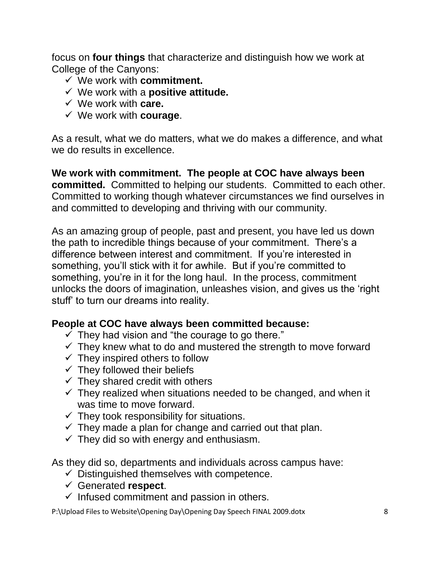focus on **four things** that characterize and distinguish how we work at College of the Canyons:

- We work with **commitment.**
- We work with a **positive attitude.**
- We work with **care.**
- We work with **courage**.

As a result, what we do matters, what we do makes a difference, and what we do results in excellence.

**We work with commitment. The people at COC have always been committed.** Committed to helping our students. Committed to each other. Committed to working though whatever circumstances we find ourselves in and committed to developing and thriving with our community.

As an amazing group of people, past and present, you have led us down the path to incredible things because of your commitment. There's a difference between interest and commitment. If you're interested in something, you'll stick with it for awhile. But if you're committed to something, you're in it for the long haul. In the process, commitment unlocks the doors of imagination, unleashes vision, and gives us the 'right stuff' to turn our dreams into reality.

### **People at COC have always been committed because:**

- $\checkmark$  They had vision and "the courage to go there."
- $\checkmark$  They knew what to do and mustered the strength to move forward
- $\checkmark$  They inspired others to follow
- $\checkmark$  They followed their beliefs
- $\checkmark$  They shared credit with others
- $\checkmark$  They realized when situations needed to be changed, and when it was time to move forward.
- $\checkmark$  They took responsibility for situations.
- $\checkmark$  They made a plan for change and carried out that plan.
- $\checkmark$  They did so with energy and enthusiasm.

As they did so, departments and individuals across campus have:

- $\checkmark$  Distinguished themselves with competence.
- Generated **respect**.
- $\checkmark$  Infused commitment and passion in others.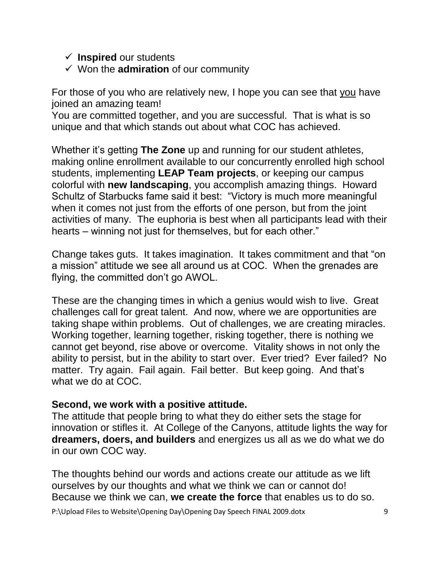### $\checkmark$  Inspired our students

 $\checkmark$  Won the **admiration** of our community

For those of you who are relatively new, I hope you can see that you have joined an amazing team!

You are committed together, and you are successful. That is what is so unique and that which stands out about what COC has achieved.

Whether it's getting **The Zone** up and running for our student athletes, making online enrollment available to our concurrently enrolled high school students, implementing **LEAP Team projects**, or keeping our campus colorful with **new landscaping**, you accomplish amazing things. Howard Schultz of Starbucks fame said it best: "Victory is much more meaningful when it comes not just from the efforts of one person, but from the joint activities of many. The euphoria is best when all participants lead with their hearts – winning not just for themselves, but for each other."

Change takes guts. It takes imagination. It takes commitment and that "on a mission" attitude we see all around us at COC. When the grenades are flying, the committed don't go AWOL.

These are the changing times in which a genius would wish to live. Great challenges call for great talent. And now, where we are opportunities are taking shape within problems. Out of challenges, we are creating miracles. Working together, learning together, risking together, there is nothing we cannot get beyond, rise above or overcome. Vitality shows in not only the ability to persist, but in the ability to start over. Ever tried? Ever failed? No matter. Try again. Fail again. Fail better. But keep going. And that's what we do at COC.

## **Second, we work with a positive attitude.**

The attitude that people bring to what they do either sets the stage for innovation or stifles it. At College of the Canyons, attitude lights the way for **dreamers, doers, and builders** and energizes us all as we do what we do in our own COC way.

The thoughts behind our words and actions create our attitude as we lift ourselves by our thoughts and what we think we can or cannot do! Because we think we can, **we create the force** that enables us to do so.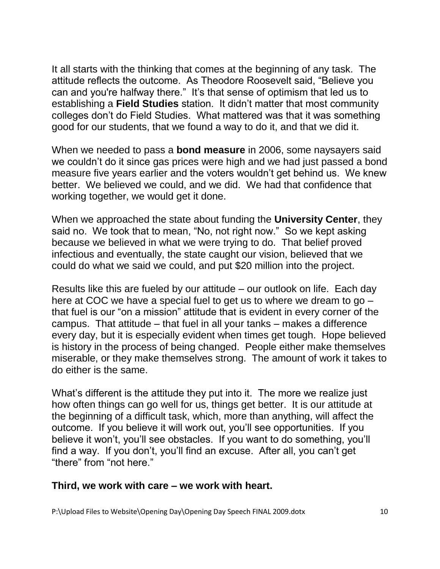It all starts with the thinking that comes at the beginning of any task. The attitude reflects the outcome. As Theodore Roosevelt said, "Believe you can and you're halfway there." It's that sense of optimism that led us to establishing a **Field Studies** station. It didn't matter that most community colleges don't do Field Studies. What mattered was that it was something good for our students, that we found a way to do it, and that we did it.

When we needed to pass a **bond measure** in 2006, some naysayers said we couldn't do it since gas prices were high and we had just passed a bond measure five years earlier and the voters wouldn't get behind us. We knew better. We believed we could, and we did. We had that confidence that working together, we would get it done.

When we approached the state about funding the **University Center**, they said no. We took that to mean, "No, not right now." So we kept asking because we believed in what we were trying to do. That belief proved infectious and eventually, the state caught our vision, believed that we could do what we said we could, and put \$20 million into the project.

Results like this are fueled by our attitude – our outlook on life. Each day here at COC we have a special fuel to get us to where we dream to go – that fuel is our "on a mission" attitude that is evident in every corner of the campus. That attitude – that fuel in all your tanks – makes a difference every day, but it is especially evident when times get tough. Hope believed is history in the process of being changed. People either make themselves miserable, or they make themselves strong. The amount of work it takes to do either is the same.

What's different is the attitude they put into it. The more we realize just how often things can go well for us, things get better. It is our attitude at the beginning of a difficult task, which, more than anything, will affect the outcome. If you believe it will work out, you'll see opportunities. If you believe it won't, you'll see obstacles. If you want to do something, you'll find a way. If you don't, you'll find an excuse. After all, you can't get "there" from "not here."

#### **Third, we work with care – we work with heart.**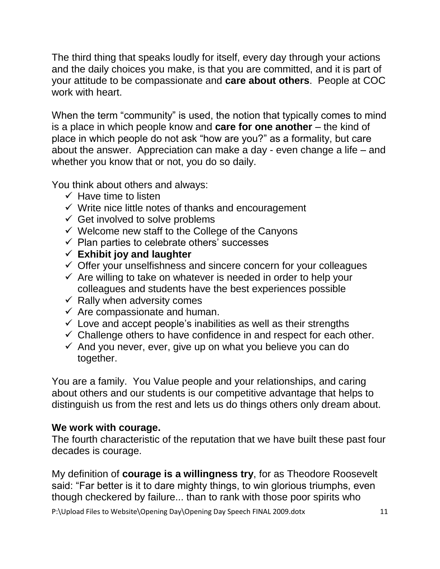The third thing that speaks loudly for itself, every day through your actions and the daily choices you make, is that you are committed, and it is part of your attitude to be compassionate and **care about others**. People at COC work with heart.

When the term "community" is used, the notion that typically comes to mind is a place in which people know and **care for one another** – the kind of place in which people do not ask "how are you?" as a formality, but care about the answer. Appreciation can make a day - even change a life – and whether you know that or not, you do so daily.

You think about others and always:

- $\checkmark$  Have time to listen
- $\checkmark$  Write nice little notes of thanks and encouragement
- $\checkmark$  Get involved to solve problems
- $\checkmark$  Welcome new staff to the College of the Canyons
- $\checkmark$  Plan parties to celebrate others' successes
- **Exhibit joy and laughter**
- $\checkmark$  Offer your unselfishness and sincere concern for your colleagues
- $\checkmark$  Are willing to take on whatever is needed in order to help your colleagues and students have the best experiences possible
- $\checkmark$  Rally when adversity comes
- $\checkmark$  Are compassionate and human.
- $\checkmark$  Love and accept people's inabilities as well as their strengths
- $\checkmark$  Challenge others to have confidence in and respect for each other.
- $\checkmark$  And you never, ever, give up on what you believe you can do together.

You are a family. You Value people and your relationships, and caring about others and our students is our competitive advantage that helps to distinguish us from the rest and lets us do things others only dream about.

## **We work with courage.**

The fourth characteristic of the reputation that we have built these past four decades is courage.

My definition of **courage is a willingness try**, for as Theodore Roosevelt said: "Far better is it to dare mighty things, to win glorious triumphs, even though checkered by failure... than to rank with those poor spirits who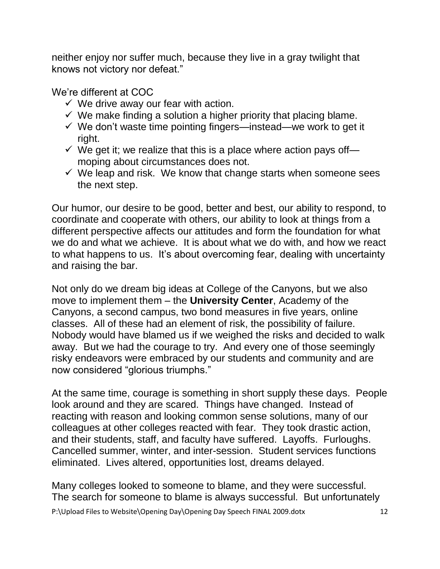neither enjoy nor suffer much, because they live in a gray twilight that knows not victory nor defeat."

We're different at COC

- $\checkmark$  We drive away our fear with action.
- $\checkmark$  We make finding a solution a higher priority that placing blame.
- $\checkmark$  We don't waste time pointing fingers—instead—we work to get it right.
- $\checkmark$  We get it; we realize that this is a place where action pays of f moping about circumstances does not.
- $\checkmark$  We leap and risk. We know that change starts when someone sees the next step.

Our humor, our desire to be good, better and best, our ability to respond, to coordinate and cooperate with others, our ability to look at things from a different perspective affects our attitudes and form the foundation for what we do and what we achieve. It is about what we do with, and how we react to what happens to us. It's about overcoming fear, dealing with uncertainty and raising the bar.

Not only do we dream big ideas at College of the Canyons, but we also move to implement them – the **University Center**, Academy of the Canyons, a second campus, two bond measures in five years, online classes. All of these had an element of risk, the possibility of failure. Nobody would have blamed us if we weighed the risks and decided to walk away. But we had the courage to try. And every one of those seemingly risky endeavors were embraced by our students and community and are now considered "glorious triumphs."

At the same time, courage is something in short supply these days. People look around and they are scared. Things have changed. Instead of reacting with reason and looking common sense solutions, many of our colleagues at other colleges reacted with fear. They took drastic action, and their students, staff, and faculty have suffered. Layoffs. Furloughs. Cancelled summer, winter, and inter-session. Student services functions eliminated. Lives altered, opportunities lost, dreams delayed.

Many colleges looked to someone to blame, and they were successful. The search for someone to blame is always successful. But unfortunately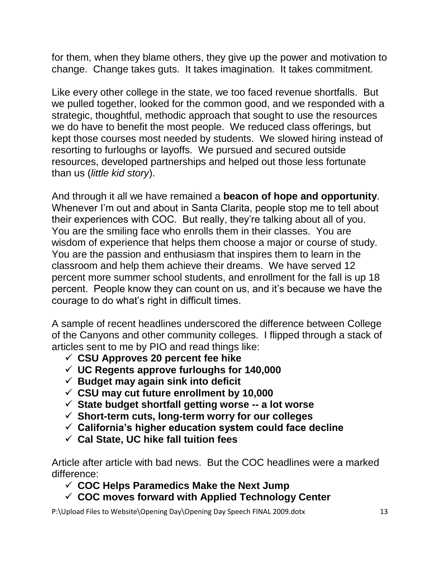for them, when they blame others, they give up the power and motivation to change. Change takes guts. It takes imagination. It takes commitment.

Like every other college in the state, we too faced revenue shortfalls. But we pulled together, looked for the common good, and we responded with a strategic, thoughtful, methodic approach that sought to use the resources we do have to benefit the most people. We reduced class offerings, but kept those courses most needed by students. We slowed hiring instead of resorting to furloughs or layoffs. We pursued and secured outside resources, developed partnerships and helped out those less fortunate than us (*little kid story*).

And through it all we have remained a **beacon of hope and opportunity**. Whenever I'm out and about in Santa Clarita, people stop me to tell about their experiences with COC. But really, they're talking about all of you. You are the smiling face who enrolls them in their classes. You are wisdom of experience that helps them choose a major or course of study. You are the passion and enthusiasm that inspires them to learn in the classroom and help them achieve their dreams. We have served 12 percent more summer school students, and enrollment for the fall is up 18 percent. People know they can count on us, and it's because we have the courage to do what's right in difficult times.

A sample of recent headlines underscored the difference between College of the Canyons and other community colleges. I flipped through a stack of articles sent to me by PIO and read things like:

- **CSU Approves 20 percent fee hike**
- **UC Regents approve furloughs for 140,000**
- **Budget may again sink into deficit**
- **CSU may cut future enrollment by 10,000**
- **State budget shortfall getting worse -- a lot worse**
- **Short-term cuts, long-term worry for our colleges**
- **California's higher education system could face decline**
- **Cal State, UC hike fall tuition fees**

Article after article with bad news. But the COC headlines were a marked difference:

**COC Helps Paramedics Make the Next Jump**

**COC moves forward with Applied Technology Center**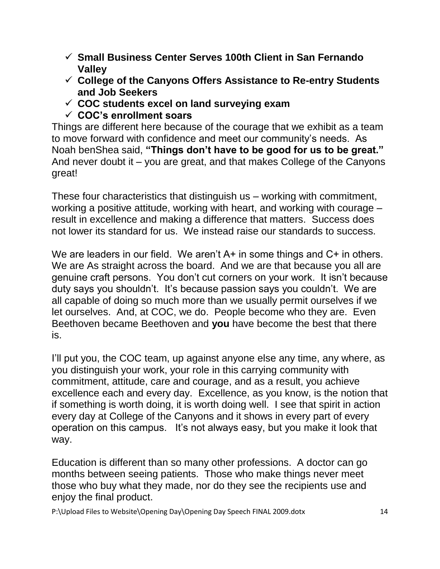- **Small Business Center Serves 100th Client in San Fernando Valley**
- **College of the Canyons Offers Assistance to Re-entry Students and Job Seekers**
- **COC students excel on land surveying exam**
- **COC's enrollment soars**

Things are different here because of the courage that we exhibit as a team to move forward with confidence and meet our community's needs. As Noah benShea said, **"Things don't have to be good for us to be great."** And never doubt it – you are great, and that makes College of the Canyons great!

These four characteristics that distinguish us – working with commitment, working a positive attitude, working with heart, and working with courage – result in excellence and making a difference that matters. Success does not lower its standard for us. We instead raise our standards to success.

We are leaders in our field. We aren't A+ in some things and C+ in others. We are As straight across the board. And we are that because you all are genuine craft persons. You don't cut corners on your work. It isn't because duty says you shouldn't. It's because passion says you couldn't. We are all capable of doing so much more than we usually permit ourselves if we let ourselves. And, at COC, we do. People become who they are. Even Beethoven became Beethoven and **you** have become the best that there is.

I'll put you, the COC team, up against anyone else any time, any where, as you distinguish your work, your role in this carrying community with commitment, attitude, care and courage, and as a result, you achieve excellence each and every day. Excellence, as you know, is the notion that if something is worth doing, it is worth doing well. I see that spirit in action every day at College of the Canyons and it shows in every part of every operation on this campus. It's not always easy, but you make it look that way.

Education is different than so many other professions. A doctor can go months between seeing patients. Those who make things never meet those who buy what they made, nor do they see the recipients use and enjoy the final product.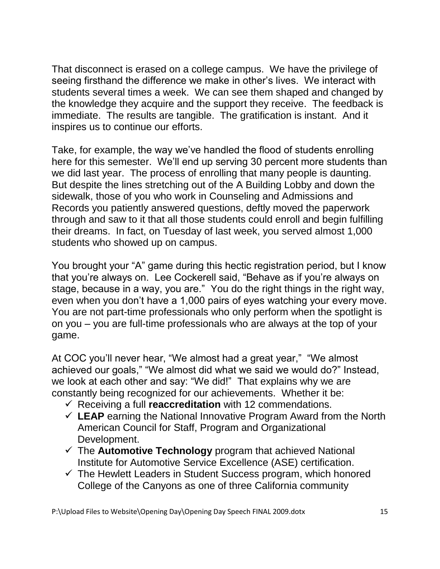That disconnect is erased on a college campus. We have the privilege of seeing firsthand the difference we make in other's lives. We interact with students several times a week. We can see them shaped and changed by the knowledge they acquire and the support they receive. The feedback is immediate. The results are tangible. The gratification is instant. And it inspires us to continue our efforts.

Take, for example, the way we've handled the flood of students enrolling here for this semester. We'll end up serving 30 percent more students than we did last year. The process of enrolling that many people is daunting. But despite the lines stretching out of the A Building Lobby and down the sidewalk, those of you who work in Counseling and Admissions and Records you patiently answered questions, deftly moved the paperwork through and saw to it that all those students could enroll and begin fulfilling their dreams. In fact, on Tuesday of last week, you served almost 1,000 students who showed up on campus.

You brought your "A" game during this hectic registration period, but I know that you're always on. Lee Cockerell said, "Behave as if you're always on stage, because in a way, you are." You do the right things in the right way, even when you don't have a 1,000 pairs of eyes watching your every move. You are not part-time professionals who only perform when the spotlight is on you – you are full-time professionals who are always at the top of your game.

At COC you'll never hear, "We almost had a great year," "We almost achieved our goals," "We almost did what we said we would do?" Instead, we look at each other and say: "We did!" That explains why we are constantly being recognized for our achievements. Whether it be:

- Receiving a full **reaccreditation** with 12 commendations.
- **LEAP** earning the National Innovative Program Award from the North American Council for Staff, Program and Organizational Development.
- $\checkmark$  The **Automotive Technology** program that achieved National Institute for Automotive Service Excellence (ASE) certification.
- $\checkmark$  The Hewlett Leaders in Student Success program, which honored College of the Canyons as one of three California community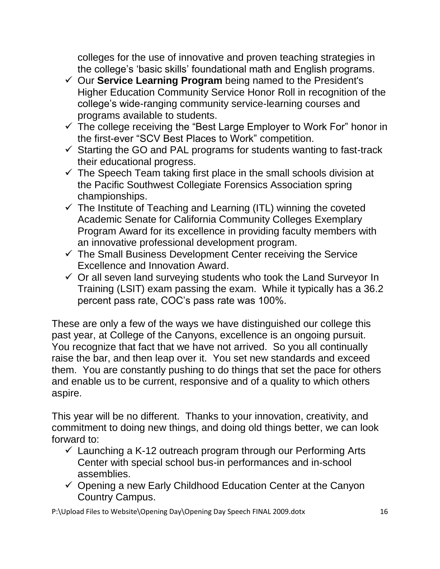colleges for the use of innovative and proven teaching strategies in the college's 'basic skills' foundational math and English programs.

- Our **Service Learning Program** being named to the President's Higher Education Community Service Honor Roll in recognition of the college's wide-ranging community service-learning courses and programs available to students.
- $\checkmark$  The college receiving the "Best Large Employer to Work For" honor in the first-ever "SCV Best Places to Work" competition.
- $\checkmark$  Starting the GO and PAL programs for students wanting to fast-track their educational progress.
- $\checkmark$  The Speech Team taking first place in the small schools division at the Pacific Southwest Collegiate Forensics Association spring championships.
- $\checkmark$  The Institute of Teaching and Learning (ITL) winning the coveted Academic Senate for California Community Colleges Exemplary Program Award for its excellence in providing faculty members with an innovative professional development program.
- $\checkmark$  The Small Business Development Center receiving the Service Excellence and Innovation Award.
- $\checkmark$  Or all seven land surveying students who took the Land Surveyor In Training (LSIT) exam passing the exam. While it typically has a 36.2 percent pass rate, COC's pass rate was 100%.

These are only a few of the ways we have distinguished our college this past year, at College of the Canyons, excellence is an ongoing pursuit. You recognize that fact that we have not arrived. So you all continually raise the bar, and then leap over it. You set new standards and exceed them. You are constantly pushing to do things that set the pace for others and enable us to be current, responsive and of a quality to which others aspire.

This year will be no different. Thanks to your innovation, creativity, and commitment to doing new things, and doing old things better, we can look forward to:

- $\checkmark$  Launching a K-12 outreach program through our Performing Arts Center with special school bus-in performances and in-school assemblies.
- $\checkmark$  Opening a new Early Childhood Education Center at the Canyon Country Campus.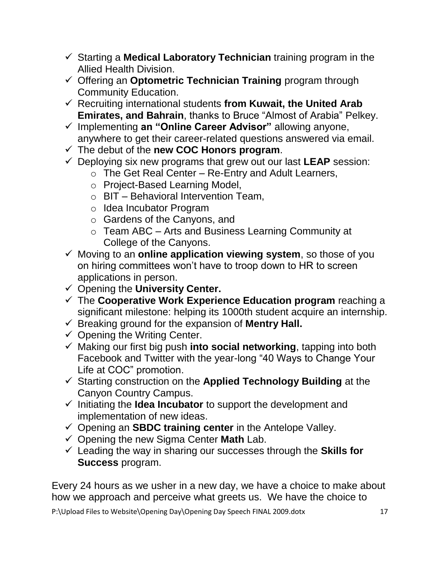- $\checkmark$  Starting a **Medical Laboratory Technician** training program in the Allied Health Division.
- Offering an **Optometric Technician Training** program through Community Education.
- Recruiting international students **from Kuwait, the United Arab Emirates, and Bahrain**, thanks to Bruce "Almost of Arabia" Pelkey.
- Implementing **an "Online Career Advisor"** allowing anyone, anywhere to get their career-related questions answered via email.
- $\checkmark$  The debut of the **new COC Honors program**.
- $\checkmark$  Deploying six new programs that grew out our last **LEAP** session:
	- $\circ$  The Get Real Center Re-Entry and Adult Learners,
	- o Project-Based Learning Model,
	- $\circ$  BIT Behavioral Intervention Team,
	- o Idea Incubator Program
	- o Gardens of the Canyons, and
	- o Team ABC Arts and Business Learning Community at College of the Canyons.
- Moving to an **online application viewing system**, so those of you on hiring committees won't have to troop down to HR to screen applications in person.
- Opening the **University Center.**
- The **Cooperative Work Experience Education program** reaching a significant milestone: helping its 1000th student acquire an internship.
- $\checkmark$  Breaking ground for the expansion of **Mentry Hall.**
- $\checkmark$  Opening the Writing Center.
- Making our first big push **into social networking**, tapping into both Facebook and Twitter with the year-long "40 Ways to Change Your Life at COC" promotion.
- Starting construction on the **Applied Technology Building** at the Canyon Country Campus.
- $\checkmark$  Initiating the **Idea Incubator** to support the development and implementation of new ideas.
- Opening an **SBDC training center** in the Antelope Valley.
- Opening the new Sigma Center **Math** Lab.
- Leading the way in sharing our successes through the **Skills for Success** program.

Every 24 hours as we usher in a new day, we have a choice to make about how we approach and perceive what greets us. We have the choice to